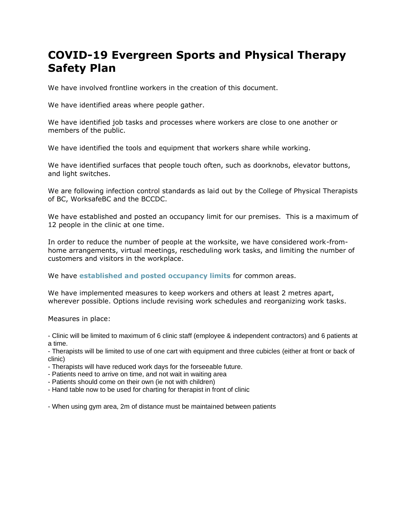## **COVID-19 Evergreen Sports and Physical Therapy Safety Plan**

We have involved frontline workers in the creation of this document.

We have identified areas where people gather.

We have identified job tasks and processes where workers are close to one another or members of the public.

We have identified the tools and equipment that workers share while working.

We have identified surfaces that people touch often, such as doorknobs, elevator buttons, and light switches.

We are following infection control standards as laid out by the College of Physical Therapists of BC, WorksafeBC and the BCCDC.

We have established and posted an occupancy limit for our premises. This is a maximum of 12 people in the clinic at one time.

In order to reduce the number of people at the worksite, we have considered work-fromhome arrangements, virtual meetings, rescheduling work tasks, and limiting the number of customers and visitors in the workplace.

We have **established and posted occupancy limits** for common areas.

We have implemented measures to keep workers and others at least 2 metres apart, wherever possible. Options include revising work schedules and reorganizing work tasks.

Measures in place:

- Clinic will be limited to maximum of 6 clinic staff (employee & independent contractors) and 6 patients at a time.

- Therapists will be limited to use of one cart with equipment and three cubicles (either at front or back of clinic)

- Therapists will have reduced work days for the forseeable future.

- Patients need to arrive on time, and not wait in waiting area

- Patients should come on their own (ie not with children)

- Hand table now to be used for charting for therapist in front of clinic

- When using gym area, 2m of distance must be maintained between patients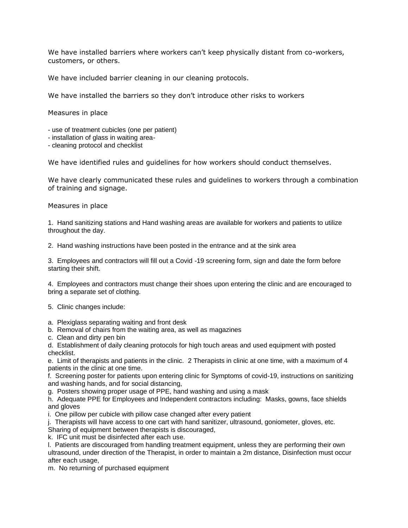We have installed barriers where workers can't keep physically distant from co-workers, customers, or others.

We have included barrier cleaning in our cleaning protocols.

We have installed the barriers so they don't introduce other risks to workers

Measures in place

- use of treatment cubicles (one per patient)
- installation of glass in waiting area-
- cleaning protocol and checklist

We have identified rules and guidelines for how workers should conduct themselves.

We have clearly communicated these rules and guidelines to workers through a combination of training and signage.

Measures in place

1. Hand sanitizing stations and Hand washing areas are available for workers and patients to utilize throughout the day.

2. Hand washing instructions have been posted in the entrance and at the sink area

3. Employees and contractors will fill out a Covid -19 screening form, sign and date the form before starting their shift.

4. Employees and contractors must change their shoes upon entering the clinic and are encouraged to bring a separate set of clothing.

5. Clinic changes include:

a. Plexiglass separating waiting and front desk

b. Removal of chairs from the waiting area, as well as magazines

c. Clean and dirty pen bin

d. Establishment of daily cleaning protocols for high touch areas and used equipment with posted checklist.

e. Limit of therapists and patients in the clinic. 2 Therapists in clinic at one time, with a maximum of 4 patients in the clinic at one time.

f. Screening poster for patients upon entering clinic for Symptoms of covid-19, instructions on sanitizing and washing hands, and for social distancing,

g. Posters showing proper usage of PPE, hand washing and using a mask

h. Adequate PPE for Employees and Independent contractors including: Masks, gowns, face shields and gloves

i. One pillow per cubicle with pillow case changed after every patient

j. Therapists will have access to one cart with hand sanitizer, ultrasound, goniometer, gloves, etc.

Sharing of equipment between therapists is discouraged,

k. IFC unit must be disinfected after each use.

l. Patients are discouraged from handling treatment equipment, unless they are performing their own ultrasound, under direction of the Therapist, in order to maintain a 2m distance, Disinfection must occur after each usage,

m. No returning of purchased equipment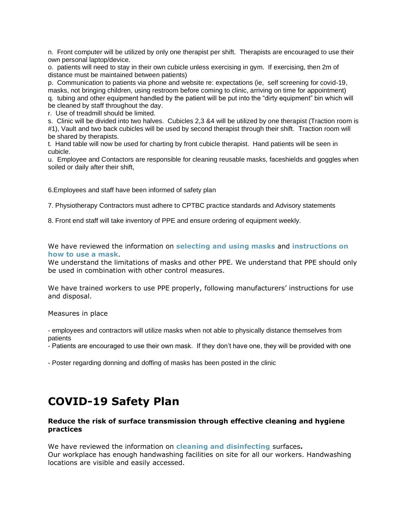n. Front computer will be utilized by only one therapist per shift. Therapists are encouraged to use their own personal laptop/device.

o. patients will need to stay in their own cubicle unless exercising in gym. If exercising, then 2m of distance must be maintained between patients)

p. Communication to patients via phone and website re: expectations (ie, self screening for covid-19, masks, not bringing children, using restroom before coming to clinic, arriving on time for appointment) q. tubing and other equipment handled by the patient will be put into the "dirty equipment" bin which will be cleaned by staff throughout the day.

r. Use of treadmill should be limited.

s. Clinic will be divided into two halves. Cubicles 2,3 &4 will be utilized by one therapist (Traction room is #1), Vault and two back cubicles will be used by second therapist through their shift. Traction room will be shared by therapists.

t. Hand table will now be used for charting by front cubicle therapist. Hand patients will be seen in cubicle.

u. Employee and Contactors are responsible for cleaning reusable masks, faceshields and goggles when soiled or daily after their shift,

6.Employees and staff have been informed of safety plan

7. Physiotherapy Contractors must adhere to CPTBC practice standards and Advisory statements

8. Front end staff will take inventory of PPE and ensure ordering of equipment weekly.

We have reviewed the information on **selecting and using masks** and **instructions on how to use a mask**.

We understand the limitations of masks and other PPE. We understand that PPE should only be used in combination with other control measures.

We have trained workers to use PPE properly, following manufacturers' instructions for use and disposal.

Measures in place

- employees and contractors will utilize masks when not able to physically distance themselves from patients

- Patients are encouraged to use their own mask. If they don't have one, they will be provided with one

- Poster regarding donning and doffing of masks has been posted in the clinic

## **COVID-19 Safety Plan**

## **Reduce the risk of surface transmission through effective cleaning and hygiene practices**

We have reviewed the information on **cleaning and disinfecting** surfaces**.** Our workplace has enough handwashing facilities on site for all our workers. Handwashing locations are visible and easily accessed.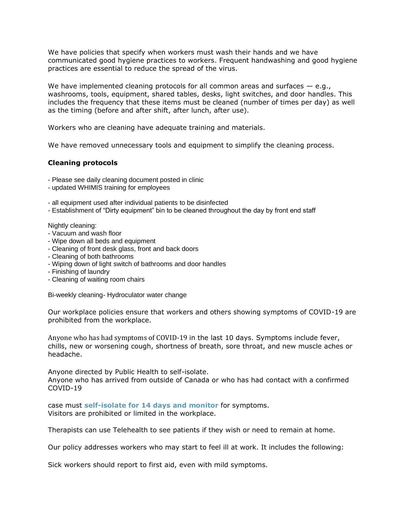We have policies that specify when workers must wash their hands and we have communicated good hygiene practices to workers. Frequent handwashing and good hygiene practices are essential to reduce the spread of the virus.

We have implemented cleaning protocols for all common areas and surfaces - e.g., washrooms, tools, equipment, shared tables, desks, light switches, and door handles. This includes the frequency that these items must be cleaned (number of times per day) as well as the timing (before and after shift, after lunch, after use).

Workers who are cleaning have adequate training and materials.

We have removed unnecessary tools and equipment to simplify the cleaning process.

## **Cleaning protocols**

- Please see daily cleaning document posted in clinic
- updated WHIMIS training for employees

- all equipment used after individual patients to be disinfected

- Establishment of "Dirty equipment" bin to be cleaned throughout the day by front end staff

Nightly cleaning:

- Vacuum and wash floor
- Wipe down all beds and equipment
- Cleaning of front desk glass, front and back doors
- Cleaning of both bathrooms
- Wiping down of light switch of bathrooms and door handles
- Finishing of laundry
- Cleaning of waiting room chairs

Bi-weekly cleaning- Hydroculator water change

Our workplace policies ensure that workers and others showing symptoms of COVID-19 are prohibited from the workplace.

Anyone who has had symptoms of COVID-19 in the last 10 days. Symptoms include fever, chills, new or worsening cough, shortness of breath, sore throat, and new muscle aches or headache.

Anyone directed by Public Health to self-isolate. Anyone who has arrived from outside of Canada or who has had contact with a confirmed COVID-19

case must **self-isolate for 14 days and monitor** for symptoms. Visitors are prohibited or limited in the workplace.

Therapists can use Telehealth to see patients if they wish or need to remain at home.

Our policy addresses workers who may start to feel ill at work. It includes the following:

Sick workers should report to first aid, even with mild symptoms.